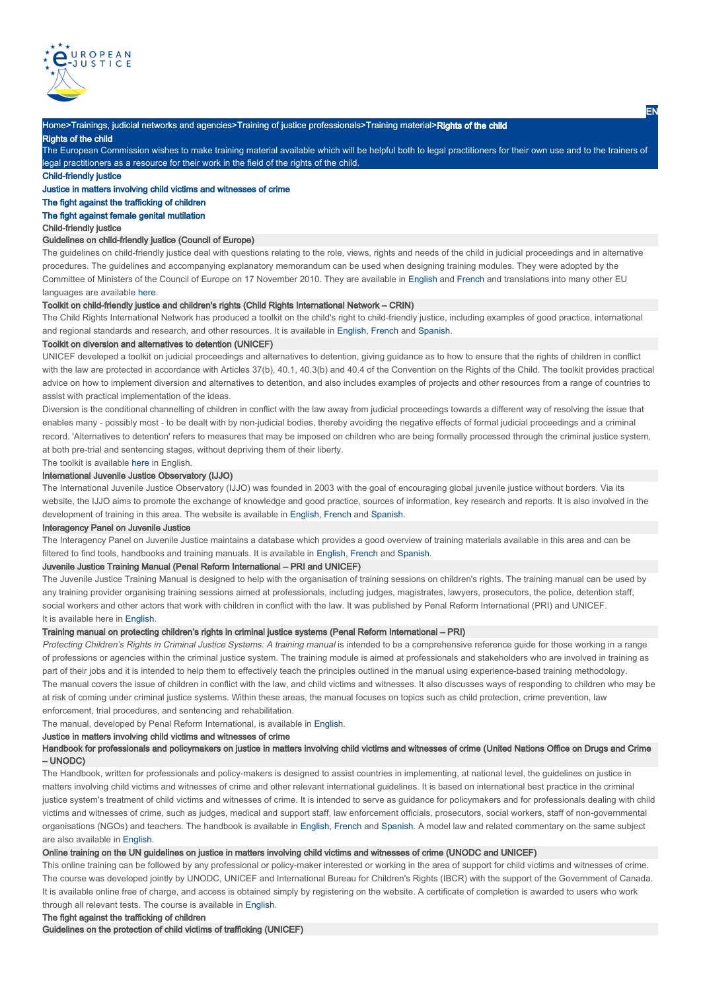

Home>Trainings, judicial networks and agencies>Training of justice professionals>Training material>Rights of the child Rights of the child

The European Commission wishes to make training material available which will be helpful both to legal practitioners for their own use and to the trainers of legal practitioners as a resource for their work in the field of the rights of the child.

Child-friendly justice

Justice in matters involving child victims and witnesses of crime

# The fight against the trafficking of children

The fight against female genital mutilation

## Child-friendly justice

# Guidelines on child-friendly justice (Council of Europe)

The guidelines on child-friendly justice deal with questions relating to the role, views, rights and needs of the child in judicial proceedings and in alternative procedures. The guidelines and accompanying explanatory memorandum can be used when designing training modules. They were adopted by the Committee of Ministers of the Council of Europe on 17 November 2010. They are available in English and French and translations into many other EU languages are available here.

# Toolkit on child-friendly justice and children's rights (Child Rights International Network – CRIN)

The Child Rights International Network has produced a toolkit on the child's right to child-friendly justice, including examples of good practice, international and regional standards and research, and other resources. It is available in English, French and Spanish.

# Toolkit on diversion and alternatives to detention (UNICEF)

UNICEF developed a toolkit on judicial proceedings and alternatives to detention, giving guidance as to how to ensure that the rights of children in conflict with the law are protected in accordance with Articles 37(b), 40.1, 40.3(b) and 40.4 of the Convention on the Rights of the Child. The toolkit provides practical advice on how to implement diversion and alternatives to detention, and also includes examples of projects and other resources from a range of countries to assist with practical implementation of the ideas.

Diversion is the conditional channelling of children in conflict with the law away from judicial proceedings towards a different way of resolving the issue that enables many - possibly most - to be dealt with by non-judicial bodies, thereby avoiding the negative effects of formal judicial proceedings and a criminal record. 'Alternatives to detention' refers to measures that may be imposed on children who are being formally processed through the criminal justice system, at both pre-trial and sentencing stages, without depriving them of their liberty.

#### The toolkit is available here in English.

## International Juvenile Justice Observatory (IJJO)

The International Juvenile Justice Observatory (IJJO) was founded in 2003 with the goal of encouraging global juvenile justice without borders. Via its website, the IJJO aims to promote the exchange of knowledge and good practice, sources of information, key research and reports. It is also involved in the development of training in this area. The website is available in English, French and Spanish.

#### Interagency Panel on Juvenile Justice

The Interagency Panel on Juvenile Justice maintains a database which provides a good overview of training materials available in this area and can be filtered to find tools, handbooks and training manuals. It is available in English, French and Spanish.

### Juvenile Justice Training Manual (Penal Reform International – PRI and UNICEF)

The Juvenile Justice Training Manual is designed to help with the organisation of training sessions on children's rights. The training manual can be used by any training provider organising training sessions aimed at professionals, including judges, magistrates, lawyers, prosecutors, the police, detention staff, social workers and other actors that work with children in conflict with the law. It was published by Penal Reform International (PRI) and UNICEF. It is available here in English.

## Training manual on protecting children's rights in criminal justice systems (Penal Reform International – PRI)

Protecting Children's Rights in Criminal Justice Systems: A training manual is intended to be a comprehensive reference quide for those working in a range of professions or agencies within the criminal justice system. The training module is aimed at professionals and stakeholders who are involved in training as part of their jobs and it is intended to help them to effectively teach the principles outlined in the manual using experience-based training methodology. The manual covers the issue of children in conflict with the law, and child victims and witnesses. It also discusses ways of responding to children who may be at risk of coming under criminal justice systems. Within these areas, the manual focuses on topics such as child protection, crime prevention, law enforcement, trial procedures, and sentencing and rehabilitation.

The manual, developed by Penal Reform International, is available in English.

### Justice in matters involving child victims and witnesses of crime

Handbook for professionals and policymakers on justice in matters involving child victims and witnesses of crime (United Nations Office on Drugs and Crime – UNODC)

The Handbook, written for professionals and policy-makers is designed to assist countries in implementing, at national level, the guidelines on justice in matters involving child victims and witnesses of crime and other relevant international guidelines. It is based on international best practice in the criminal justice system's treatment of child victims and witnesses of crime. It is intended to serve as guidance for policymakers and for professionals dealing with child victims and witnesses of crime, such as judges, medical and support staff, law enforcement officials, prosecutors, social workers, staff of non-governmental organisations (NGOs) and teachers. The handbook is available in English, French and Spanish. A model law and related commentary on the same subject are also available in English.

## Online training on the UN guidelines on justice in matters involving child victims and witnesses of crime (UNODC and UNICEF)

This online training can be followed by any professional or policy-maker interested or working in the area of support for child victims and witnesses of crime. The course was developed jointly by UNODC, UNICEF and International Bureau for Children's Rights (IBCR) with the support of the Government of Canada. It is available online free of charge, and access is obtained simply by registering on the website. A certificate of completion is awarded to users who work through all relevant tests. The course is available in English.

### The fight against the trafficking of children

Guidelines on the protection of child victims of trafficking (UNICEF)